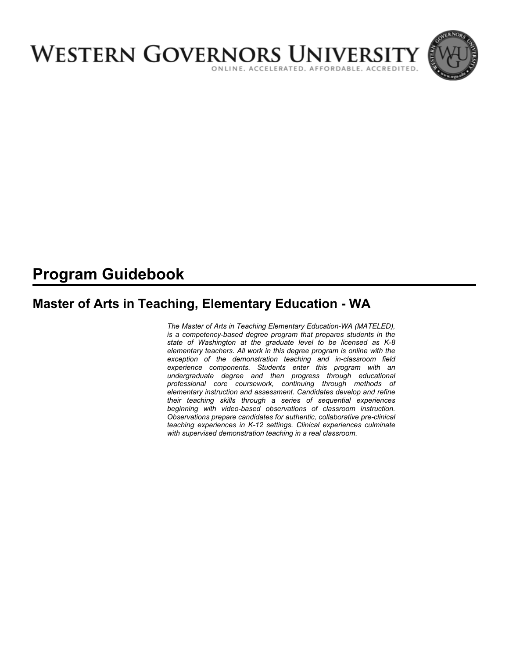

# **Program Guidebook**

# **Master of Arts in Teaching, Elementary Education - WA**

*The Master of Arts in Teaching Elementary Education-WA (MATELED), is a competency-based degree program that prepares students in the state of Washington at the graduate level to be licensed as K-8 elementary teachers. All work in this degree program is online with the exception of the demonstration teaching and in-classroom field experience components. Students enter this program with an undergraduate degree and then progress through educational professional core coursework, continuing through methods of elementary instruction and assessment. Candidates develop and refine their teaching skills through a series of sequential experiences beginning with video-based observations of classroom instruction. Observations prepare candidates for authentic, collaborative pre-clinical teaching experiences in K-12 settings. Clinical experiences culminate with supervised demonstration teaching in a real classroom.*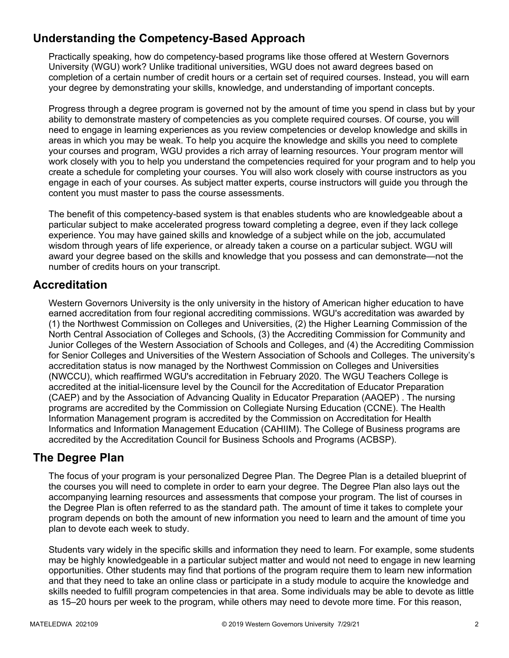# **Understanding the Competency-Based Approach**

Practically speaking, how do competency-based programs like those offered at Western Governors University (WGU) work? Unlike traditional universities, WGU does not award degrees based on completion of a certain number of credit hours or a certain set of required courses. Instead, you will earn your degree by demonstrating your skills, knowledge, and understanding of important concepts.

Progress through a degree program is governed not by the amount of time you spend in class but by your ability to demonstrate mastery of competencies as you complete required courses. Of course, you will need to engage in learning experiences as you review competencies or develop knowledge and skills in areas in which you may be weak. To help you acquire the knowledge and skills you need to complete your courses and program, WGU provides a rich array of learning resources. Your program mentor will work closely with you to help you understand the competencies required for your program and to help you create a schedule for completing your courses. You will also work closely with course instructors as you engage in each of your courses. As subject matter experts, course instructors will guide you through the content you must master to pass the course assessments.

The benefit of this competency-based system is that enables students who are knowledgeable about a particular subject to make accelerated progress toward completing a degree, even if they lack college experience. You may have gained skills and knowledge of a subject while on the job, accumulated wisdom through years of life experience, or already taken a course on a particular subject. WGU will award your degree based on the skills and knowledge that you possess and can demonstrate—not the number of credits hours on your transcript.

## **Accreditation**

Western Governors University is the only university in the history of American higher education to have earned accreditation from four regional accrediting commissions. WGU's accreditation was awarded by (1) the Northwest Commission on Colleges and Universities, (2) the Higher Learning Commission of the North Central Association of Colleges and Schools, (3) the Accrediting Commission for Community and Junior Colleges of the Western Association of Schools and Colleges, and (4) the Accrediting Commission for Senior Colleges and Universities of the Western Association of Schools and Colleges. The university's accreditation status is now managed by the Northwest Commission on Colleges and Universities (NWCCU), which reaffirmed WGU's accreditation in February 2020. The WGU Teachers College is accredited at the initial-licensure level by the Council for the Accreditation of Educator Preparation (CAEP) and by the Association of Advancing Quality in Educator Preparation (AAQEP) . The nursing programs are accredited by the Commission on Collegiate Nursing Education (CCNE). The Health Information Management program is accredited by the Commission on Accreditation for Health Informatics and Information Management Education (CAHIIM). The College of Business programs are accredited by the Accreditation Council for Business Schools and Programs (ACBSP).

## **The Degree Plan**

The focus of your program is your personalized Degree Plan. The Degree Plan is a detailed blueprint of the courses you will need to complete in order to earn your degree. The Degree Plan also lays out the accompanying learning resources and assessments that compose your program. The list of courses in the Degree Plan is often referred to as the standard path. The amount of time it takes to complete your program depends on both the amount of new information you need to learn and the amount of time you plan to devote each week to study.

Students vary widely in the specific skills and information they need to learn. For example, some students may be highly knowledgeable in a particular subject matter and would not need to engage in new learning opportunities. Other students may find that portions of the program require them to learn new information and that they need to take an online class or participate in a study module to acquire the knowledge and skills needed to fulfill program competencies in that area. Some individuals may be able to devote as little as 15–20 hours per week to the program, while others may need to devote more time. For this reason,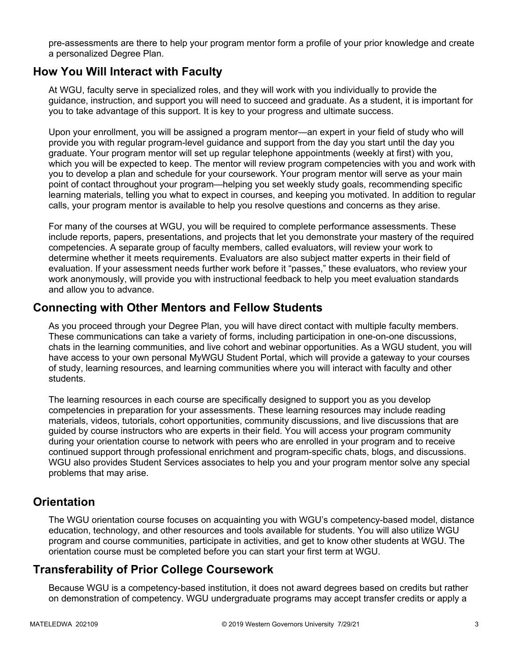pre-assessments are there to help your program mentor form a profile of your prior knowledge and create a personalized Degree Plan.

## **How You Will Interact with Faculty**

At WGU, faculty serve in specialized roles, and they will work with you individually to provide the guidance, instruction, and support you will need to succeed and graduate. As a student, it is important for you to take advantage of this support. It is key to your progress and ultimate success.

Upon your enrollment, you will be assigned a program mentor—an expert in your field of study who will provide you with regular program-level guidance and support from the day you start until the day you graduate. Your program mentor will set up regular telephone appointments (weekly at first) with you, which you will be expected to keep. The mentor will review program competencies with you and work with you to develop a plan and schedule for your coursework. Your program mentor will serve as your main point of contact throughout your program—helping you set weekly study goals, recommending specific learning materials, telling you what to expect in courses, and keeping you motivated. In addition to regular calls, your program mentor is available to help you resolve questions and concerns as they arise.

For many of the courses at WGU, you will be required to complete performance assessments. These include reports, papers, presentations, and projects that let you demonstrate your mastery of the required competencies. A separate group of faculty members, called evaluators, will review your work to determine whether it meets requirements. Evaluators are also subject matter experts in their field of evaluation. If your assessment needs further work before it "passes," these evaluators, who review your work anonymously, will provide you with instructional feedback to help you meet evaluation standards and allow you to advance.

## **Connecting with Other Mentors and Fellow Students**

As you proceed through your Degree Plan, you will have direct contact with multiple faculty members. These communications can take a variety of forms, including participation in one-on-one discussions, chats in the learning communities, and live cohort and webinar opportunities. As a WGU student, you will have access to your own personal MyWGU Student Portal, which will provide a gateway to your courses of study, learning resources, and learning communities where you will interact with faculty and other students.

The learning resources in each course are specifically designed to support you as you develop competencies in preparation for your assessments. These learning resources may include reading materials, videos, tutorials, cohort opportunities, community discussions, and live discussions that are guided by course instructors who are experts in their field. You will access your program community during your orientation course to network with peers who are enrolled in your program and to receive continued support through professional enrichment and program-specific chats, blogs, and discussions. WGU also provides Student Services associates to help you and your program mentor solve any special problems that may arise.

## **Orientation**

The WGU orientation course focuses on acquainting you with WGU's competency-based model, distance education, technology, and other resources and tools available for students. You will also utilize WGU program and course communities, participate in activities, and get to know other students at WGU. The orientation course must be completed before you can start your first term at WGU.

## **Transferability of Prior College Coursework**

Because WGU is a competency-based institution, it does not award degrees based on credits but rather on demonstration of competency. WGU undergraduate programs may accept transfer credits or apply a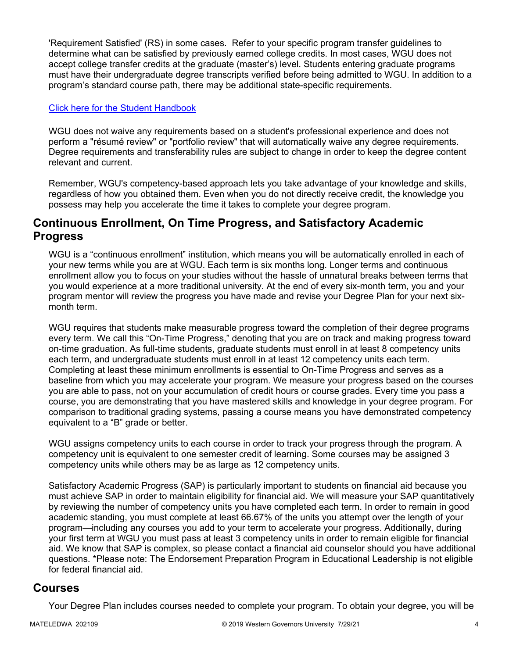'Requirement Satisfied' (RS) in some cases. Refer to your specific program transfer guidelines to determine what can be satisfied by previously earned college credits. In most cases, WGU does not accept college transfer credits at the graduate (master's) level. Students entering graduate programs must have their undergraduate degree transcripts verified before being admitted to WGU. In addition to a program's standard course path, there may be additional state-specific requirements.

#### [Click here for the Student Handbook](http://cm.wgu.edu/)

WGU does not waive any requirements based on a student's professional experience and does not perform a "résumé review" or "portfolio review" that will automatically waive any degree requirements. Degree requirements and transferability rules are subject to change in order to keep the degree content relevant and current.

Remember, WGU's competency-based approach lets you take advantage of your knowledge and skills, regardless of how you obtained them. Even when you do not directly receive credit, the knowledge you possess may help you accelerate the time it takes to complete your degree program.

## **Continuous Enrollment, On Time Progress, and Satisfactory Academic Progress**

WGU is a "continuous enrollment" institution, which means you will be automatically enrolled in each of your new terms while you are at WGU. Each term is six months long. Longer terms and continuous enrollment allow you to focus on your studies without the hassle of unnatural breaks between terms that you would experience at a more traditional university. At the end of every six-month term, you and your program mentor will review the progress you have made and revise your Degree Plan for your next sixmonth term.

WGU requires that students make measurable progress toward the completion of their degree programs every term. We call this "On-Time Progress," denoting that you are on track and making progress toward on-time graduation. As full-time students, graduate students must enroll in at least 8 competency units each term, and undergraduate students must enroll in at least 12 competency units each term. Completing at least these minimum enrollments is essential to On-Time Progress and serves as a baseline from which you may accelerate your program. We measure your progress based on the courses you are able to pass, not on your accumulation of credit hours or course grades. Every time you pass a course, you are demonstrating that you have mastered skills and knowledge in your degree program. For comparison to traditional grading systems, passing a course means you have demonstrated competency equivalent to a "B" grade or better.

WGU assigns competency units to each course in order to track your progress through the program. A competency unit is equivalent to one semester credit of learning. Some courses may be assigned 3 competency units while others may be as large as 12 competency units.

Satisfactory Academic Progress (SAP) is particularly important to students on financial aid because you must achieve SAP in order to maintain eligibility for financial aid. We will measure your SAP quantitatively by reviewing the number of competency units you have completed each term. In order to remain in good academic standing, you must complete at least 66.67% of the units you attempt over the length of your program—including any courses you add to your term to accelerate your progress. Additionally, during your first term at WGU you must pass at least 3 competency units in order to remain eligible for financial aid. We know that SAP is complex, so please contact a financial aid counselor should you have additional questions. \*Please note: The Endorsement Preparation Program in Educational Leadership is not eligible for federal financial aid.

### **Courses**

Your Degree Plan includes courses needed to complete your program. To obtain your degree, you will be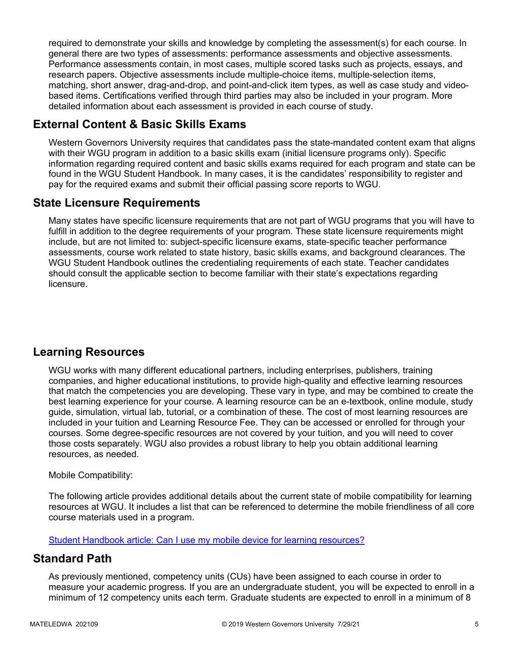required to demonstrate your skills and knowledge by completing the assessment(s) for each course. In general there are two types of assessments: performance assessments and objective assessments. Performance assessments contain, in most cases, multiple scored tasks such as projects, essays, and research papers. Objective assessments include multiple-choice items, multiple-selection items, matching, short answer, drag-and-drop, and point-and-click item types, as well as case study and videobased items. Certifications verified through third parties may also be included in your program. More detailed information about each assessment is provided in each course of study.

# **External Content & Basic Skills Exams**

Western Governors University requires that candidates pass the state-mandated content exam that aligns with their WGU program in addition to a basic skills exam (initial licensure programs only). Specific information regarding required content and basic skills exams required for each program and state can be found in the WGU Student Handbook. In many cases, it is the candidates' responsibility to register and pay for the required exams and submit their official passing score reports to WGU.

## **State Licensure Requirements**

Many states have specific licensure requirements that are not part of WGU programs that you will have to fulfill in addition to the degree requirements of your program. These state licensure requirements might include, but are not limited to: subject-specific licensure exams, state-specific teacher performance assessments, course work related to state history, basic skills exams, and background clearances. The WGU Student Handbook outlines the credentialing requirements of each state. Teacher candidates should consult the applicable section to become familiar with their state's expectations regarding licensure.

# **Learning Resources**

WGU works with many different educational partners, including enterprises, publishers, training companies, and higher educational institutions, to provide high-quality and effective learning resources that match the competencies you are developing. These vary in type, and may be combined to create the best learning experience for your course. A learning resource can be an e-textbook, online module, study guide, simulation, virtual lab, tutorial, or a combination of these. The cost of most learning resources are included in your tuition and Learning Resource Fee. They can be accessed or enrolled for through your courses. Some degree-specific resources are not covered by your tuition, and you will need to cover those costs separately. WGU also provides a robust library to help you obtain additional learning resources, as needed.

#### Mobile Compatibility:

The following article provides additional details about the current state of mobile compatibility for learning resources at WGU. It includes a list that can be referenced to determine the mobile friendliness of all core course materials used in a program.

[Student Handbook article: Can I use my mobile device for learning resources?](https://cm.wgu.edu/t5/Frequently-Asked-Questions/Can-I-use-my-mobile-device-for-learning-resources/ta-p/396)

## **Standard Path**

As previously mentioned, competency units (CUs) have been assigned to each course in order to measure your academic progress. If you are an undergraduate student, you will be expected to enroll in a minimum of 12 competency units each term. Graduate students are expected to enroll in a minimum of 8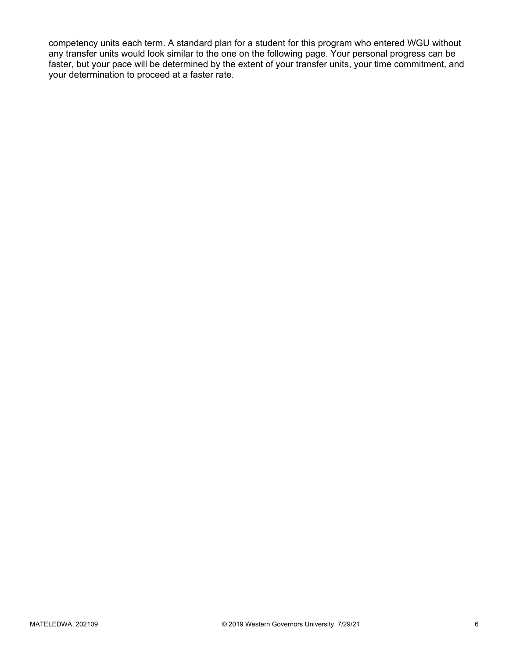competency units each term. A standard plan for a student for this program who entered WGU without any transfer units would look similar to the one on the following page. Your personal progress can be faster, but your pace will be determined by the extent of your transfer units, your time commitment, and your determination to proceed at a faster rate.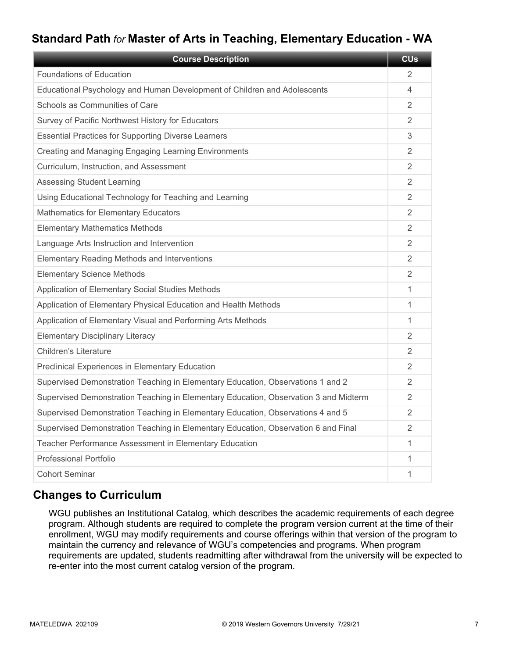# **Standard Path** *for* **Master of Arts in Teaching, Elementary Education - WA**

| <b>Course Description</b>                                                            | <b>CU<sub>s</sub></b> |
|--------------------------------------------------------------------------------------|-----------------------|
| Foundations of Education                                                             | 2                     |
| Educational Psychology and Human Development of Children and Adolescents             | 4                     |
| Schools as Communities of Care                                                       | 2                     |
| Survey of Pacific Northwest History for Educators                                    | 2                     |
| <b>Essential Practices for Supporting Diverse Learners</b>                           | 3                     |
| Creating and Managing Engaging Learning Environments                                 | 2                     |
| Curriculum, Instruction, and Assessment                                              | 2                     |
| <b>Assessing Student Learning</b>                                                    | $\overline{2}$        |
| Using Educational Technology for Teaching and Learning                               | 2                     |
| Mathematics for Elementary Educators                                                 | 2                     |
| <b>Elementary Mathematics Methods</b>                                                | $\overline{2}$        |
| Language Arts Instruction and Intervention                                           | $\overline{2}$        |
| <b>Elementary Reading Methods and Interventions</b>                                  | 2                     |
| <b>Elementary Science Methods</b>                                                    | $\overline{2}$        |
| Application of Elementary Social Studies Methods                                     | 1                     |
| Application of Elementary Physical Education and Health Methods                      | 1                     |
| Application of Elementary Visual and Performing Arts Methods                         | 1                     |
| <b>Elementary Disciplinary Literacy</b>                                              | 2                     |
| <b>Children's Literature</b>                                                         | $\overline{2}$        |
| Preclinical Experiences in Elementary Education                                      | $\overline{2}$        |
| Supervised Demonstration Teaching in Elementary Education, Observations 1 and 2      | 2                     |
| Supervised Demonstration Teaching in Elementary Education, Observation 3 and Midterm | $\mathcal{P}$         |
| Supervised Demonstration Teaching in Elementary Education, Observations 4 and 5      | $\overline{2}$        |
| Supervised Demonstration Teaching in Elementary Education, Observation 6 and Final   | 2                     |
| Teacher Performance Assessment in Elementary Education                               | 1                     |
| <b>Professional Portfolio</b>                                                        | 1                     |
| <b>Cohort Seminar</b>                                                                | 1                     |

# **Changes to Curriculum**

WGU publishes an Institutional Catalog, which describes the academic requirements of each degree program. Although students are required to complete the program version current at the time of their enrollment, WGU may modify requirements and course offerings within that version of the program to maintain the currency and relevance of WGU's competencies and programs. When program requirements are updated, students readmitting after withdrawal from the university will be expected to re-enter into the most current catalog version of the program.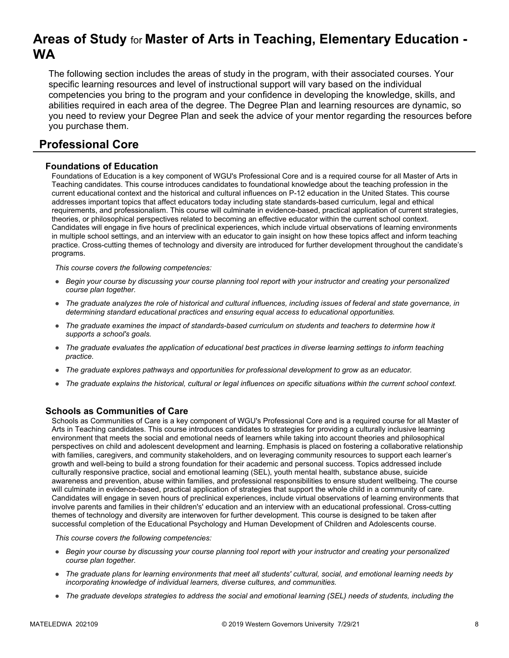# **Areas of Study** for **Master of Arts in Teaching, Elementary Education - WA**

The following section includes the areas of study in the program, with their associated courses. Your specific learning resources and level of instructional support will vary based on the individual competencies you bring to the program and your confidence in developing the knowledge, skills, and abilities required in each area of the degree. The Degree Plan and learning resources are dynamic, so you need to review your Degree Plan and seek the advice of your mentor regarding the resources before you purchase them.

# **Professional Core**

#### **Foundations of Education**

Foundations of Education is a key component of WGU's Professional Core and is a required course for all Master of Arts in Teaching candidates. This course introduces candidates to foundational knowledge about the teaching profession in the current educational context and the historical and cultural influences on P-12 education in the United States. This course addresses important topics that affect educators today including state standards-based curriculum, legal and ethical requirements, and professionalism. This course will culminate in evidence-based, practical application of current strategies, theories, or philosophical perspectives related to becoming an effective educator within the current school context. Candidates will engage in five hours of preclinical experiences, which include virtual observations of learning environments in multiple school settings, and an interview with an educator to gain insight on how these topics affect and inform teaching practice. Cross-cutting themes of technology and diversity are introduced for further development throughout the candidate's programs.

*This course covers the following competencies:*

- *Begin your course by discussing your course planning tool report with your instructor and creating your personalized course plan together.*
- *The graduate analyzes the role of historical and cultural influences, including issues of federal and state governance, in determining standard educational practices and ensuring equal access to educational opportunities.*
- *The graduate examines the impact of standards-based curriculum on students and teachers to determine how it supports a school's goals.*
- *The graduate evaluates the application of educational best practices in diverse learning settings to inform teaching practice.*
- *The graduate explores pathways and opportunities for professional development to grow as an educator.*
- *The graduate explains the historical, cultural or legal influences on specific situations within the current school context.*

#### **Schools as Communities of Care**

Schools as Communities of Care is a key component of WGU's Professional Core and is a required course for all Master of Arts in Teaching candidates. This course introduces candidates to strategies for providing a culturally inclusive learning environment that meets the social and emotional needs of learners while taking into account theories and philosophical perspectives on child and adolescent development and learning. Emphasis is placed on fostering a collaborative relationship with families, caregivers, and community stakeholders, and on leveraging community resources to support each learner's growth and well-being to build a strong foundation for their academic and personal success. Topics addressed include culturally responsive practice, social and emotional learning (SEL), youth mental health, substance abuse, suicide awareness and prevention, abuse within families, and professional responsibilities to ensure student wellbeing. The course will culminate in evidence-based, practical application of strategies that support the whole child in a community of care. Candidates will engage in seven hours of preclinical experiences, include virtual observations of learning environments that involve parents and families in their children's' education and an interview with an educational professional. Cross-cutting themes of technology and diversity are interwoven for further development. This course is designed to be taken after successful completion of the Educational Psychology and Human Development of Children and Adolescents course.

- *Begin your course by discussing your course planning tool report with your instructor and creating your personalized course plan together.*
- *The graduate plans for learning environments that meet all students' cultural, social, and emotional learning needs by incorporating knowledge of individual learners, diverse cultures, and communities.*
- *The graduate develops strategies to address the social and emotional learning (SEL) needs of students, including the*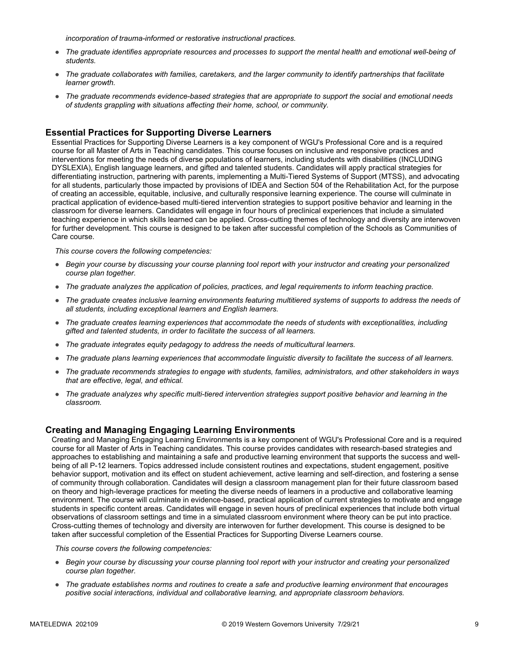*incorporation of trauma-informed or restorative instructional practices.* 

- *The graduate identifies appropriate resources and processes to support the mental health and emotional well-being of students.*
- *The graduate collaborates with families, caretakers, and the larger community to identify partnerships that facilitate learner growth.*
- *The graduate recommends evidence-based strategies that are appropriate to support the social and emotional needs of students grappling with situations affecting their home, school, or community.*

#### **Essential Practices for Supporting Diverse Learners**

Essential Practices for Supporting Diverse Learners is a key component of WGU's Professional Core and is a required course for all Master of Arts in Teaching candidates. This course focuses on inclusive and responsive practices and interventions for meeting the needs of diverse populations of learners, including students with disabilities (INCLUDING DYSLEXIA), English language learners, and gifted and talented students. Candidates will apply practical strategies for differentiating instruction, partnering with parents, implementing a Multi-Tiered Systems of Support (MTSS), and advocating for all students, particularly those impacted by provisions of IDEA and Section 504 of the Rehabilitation Act, for the purpose of creating an accessible, equitable, inclusive, and culturally responsive learning experience. The course will culminate in practical application of evidence-based multi-tiered intervention strategies to support positive behavior and learning in the classroom for diverse learners. Candidates will engage in four hours of preclinical experiences that include a simulated teaching experience in which skills learned can be applied. Cross-cutting themes of technology and diversity are interwoven for further development. This course is designed to be taken after successful completion of the Schools as Communities of Care course.

*This course covers the following competencies:*

- *Begin your course by discussing your course planning tool report with your instructor and creating your personalized course plan together.*
- *The graduate analyzes the application of policies, practices, and legal requirements to inform teaching practice.*
- *The graduate creates inclusive learning environments featuring multitiered systems of supports to address the needs of all students, including exceptional learners and English learners.*
- *The graduate creates learning experiences that accommodate the needs of students with exceptionalities, including gifted and talented students, in order to facilitate the success of all learners.*
- *The graduate integrates equity pedagogy to address the needs of multicultural learners.*
- *The graduate plans learning experiences that accommodate linguistic diversity to facilitate the success of all learners.*
- *The graduate recommends strategies to engage with students, families, administrators, and other stakeholders in ways that are effective, legal, and ethical.*
- *The graduate analyzes why specific multi-tiered intervention strategies support positive behavior and learning in the classroom.*

#### **Creating and Managing Engaging Learning Environments**

Creating and Managing Engaging Learning Environments is a key component of WGU's Professional Core and is a required course for all Master of Arts in Teaching candidates. This course provides candidates with research-based strategies and approaches to establishing and maintaining a safe and productive learning environment that supports the success and wellbeing of all P-12 learners. Topics addressed include consistent routines and expectations, student engagement, positive behavior support, motivation and its effect on student achievement, active learning and self-direction, and fostering a sense of community through collaboration. Candidates will design a classroom management plan for their future classroom based on theory and high-leverage practices for meeting the diverse needs of learners in a productive and collaborative learning environment. The course will culminate in evidence-based, practical application of current strategies to motivate and engage students in specific content areas. Candidates will engage in seven hours of preclinical experiences that include both virtual observations of classroom settings and time in a simulated classroom environment where theory can be put into practice. Cross-cutting themes of technology and diversity are interwoven for further development. This course is designed to be taken after successful completion of the Essential Practices for Supporting Diverse Learners course.

- *Begin your course by discussing your course planning tool report with your instructor and creating your personalized course plan together.*
- *The graduate establishes norms and routines to create a safe and productive learning environment that encourages positive social interactions, individual and collaborative learning, and appropriate classroom behaviors.*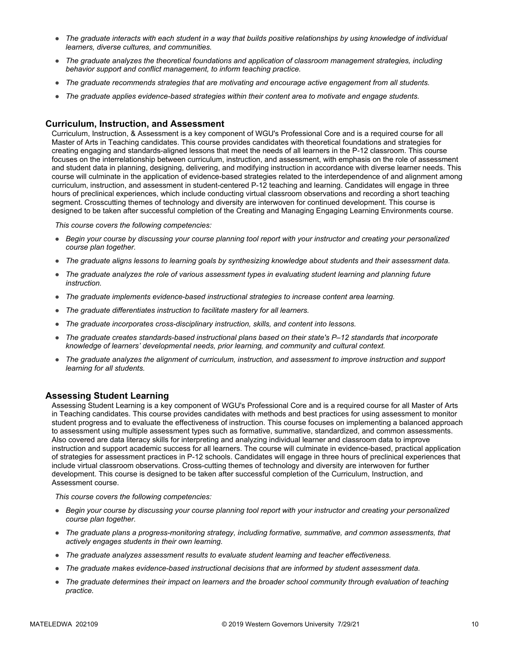- *The graduate interacts with each student in a way that builds positive relationships by using knowledge of individual learners, diverse cultures, and communities.*
- *The graduate analyzes the theoretical foundations and application of classroom management strategies, including behavior support and conflict management, to inform teaching practice.*
- *The graduate recommends strategies that are motivating and encourage active engagement from all students.*
- *The graduate applies evidence-based strategies within their content area to motivate and engage students.*

#### **Curriculum, Instruction, and Assessment**

Curriculum, Instruction, & Assessment is a key component of WGU's Professional Core and is a required course for all Master of Arts in Teaching candidates. This course provides candidates with theoretical foundations and strategies for creating engaging and standards-aligned lessons that meet the needs of all learners in the P-12 classroom. This course focuses on the interrelationship between curriculum, instruction, and assessment, with emphasis on the role of assessment and student data in planning, designing, delivering, and modifying instruction in accordance with diverse learner needs. This course will culminate in the application of evidence-based strategies related to the interdependence of and alignment among curriculum, instruction, and assessment in student-centered P-12 teaching and learning. Candidates will engage in three hours of preclinical experiences, which include conducting virtual classroom observations and recording a short teaching segment. Crosscutting themes of technology and diversity are interwoven for continued development. This course is designed to be taken after successful completion of the Creating and Managing Engaging Learning Environments course.

*This course covers the following competencies:*

- *Begin your course by discussing your course planning tool report with your instructor and creating your personalized course plan together.*
- *The graduate aligns lessons to learning goals by synthesizing knowledge about students and their assessment data.*
- *The graduate analyzes the role of various assessment types in evaluating student learning and planning future instruction.*
- *The graduate implements evidence-based instructional strategies to increase content area learning.*
- *The graduate differentiates instruction to facilitate mastery for all learners.*
- *The graduate incorporates cross-disciplinary instruction, skills, and content into lessons.*
- *The graduate creates standards-based instructional plans based on their state's P–12 standards that incorporate knowledge of learners' developmental needs, prior learning, and community and cultural context.*
- *The graduate analyzes the alignment of curriculum, instruction, and assessment to improve instruction and support learning for all students.*

#### **Assessing Student Learning**

Assessing Student Learning is a key component of WGU's Professional Core and is a required course for all Master of Arts in Teaching candidates. This course provides candidates with methods and best practices for using assessment to monitor student progress and to evaluate the effectiveness of instruction. This course focuses on implementing a balanced approach to assessment using multiple assessment types such as formative, summative, standardized, and common assessments. Also covered are data literacy skills for interpreting and analyzing individual learner and classroom data to improve instruction and support academic success for all learners. The course will culminate in evidence-based, practical application of strategies for assessment practices in P-12 schools. Candidates will engage in three hours of preclinical experiences that include virtual classroom observations. Cross-cutting themes of technology and diversity are interwoven for further development. This course is designed to be taken after successful completion of the Curriculum, Instruction, and Assessment course.

- *Begin your course by discussing your course planning tool report with your instructor and creating your personalized course plan together.*
- *The graduate plans a progress-monitoring strategy, including formative, summative, and common assessments, that actively engages students in their own learning.*
- *The graduate analyzes assessment results to evaluate student learning and teacher effectiveness.*
- *The graduate makes evidence-based instructional decisions that are informed by student assessment data.*
- *The graduate determines their impact on learners and the broader school community through evaluation of teaching practice.*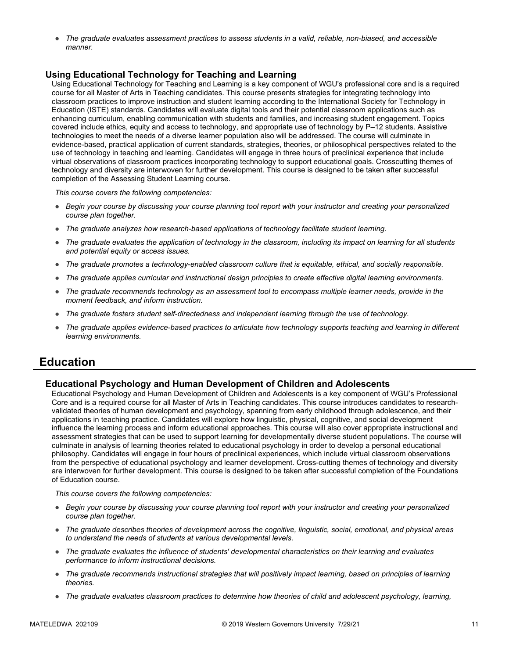● *The graduate evaluates assessment practices to assess students in a valid, reliable, non-biased, and accessible manner.*

#### **Using Educational Technology for Teaching and Learning**

Using Educational Technology for Teaching and Learning is a key component of WGU's professional core and is a required course for all Master of Arts in Teaching candidates. This course presents strategies for integrating technology into classroom practices to improve instruction and student learning according to the International Society for Technology in Education (ISTE) standards. Candidates will evaluate digital tools and their potential classroom applications such as enhancing curriculum, enabling communication with students and families, and increasing student engagement. Topics covered include ethics, equity and access to technology, and appropriate use of technology by P–12 students. Assistive technologies to meet the needs of a diverse learner population also will be addressed. The course will culminate in evidence-based, practical application of current standards, strategies, theories, or philosophical perspectives related to the use of technology in teaching and learning. Candidates will engage in three hours of preclinical experience that include virtual observations of classroom practices incorporating technology to support educational goals. Crosscutting themes of technology and diversity are interwoven for further development. This course is designed to be taken after successful completion of the Assessing Student Learning course.

*This course covers the following competencies:*

- *Begin your course by discussing your course planning tool report with your instructor and creating your personalized course plan together.*
- *The graduate analyzes how research-based applications of technology facilitate student learning.*
- *The graduate evaluates the application of technology in the classroom, including its impact on learning for all students and potential equity or access issues.*
- *The graduate promotes a technology-enabled classroom culture that is equitable, ethical, and socially responsible.*
- *The graduate applies curricular and instructional design principles to create effective digital learning environments.*
- *The graduate recommends technology as an assessment tool to encompass multiple learner needs, provide in the moment feedback, and inform instruction.*
- *The graduate fosters student self-directedness and independent learning through the use of technology.*
- The graduate applies evidence-based practices to articulate how technology supports teaching and learning in different *learning environments.*

### **Education**

#### **Educational Psychology and Human Development of Children and Adolescents**

Educational Psychology and Human Development of Children and Adolescents is a key component of WGU's Professional Core and is a required course for all Master of Arts in Teaching candidates. This course introduces candidates to researchvalidated theories of human development and psychology, spanning from early childhood through adolescence, and their applications in teaching practice. Candidates will explore how linguistic, physical, cognitive, and social development influence the learning process and inform educational approaches. This course will also cover appropriate instructional and assessment strategies that can be used to support learning for developmentally diverse student populations. The course will culminate in analysis of learning theories related to educational psychology in order to develop a personal educational philosophy. Candidates will engage in four hours of preclinical experiences, which include virtual classroom observations from the perspective of educational psychology and learner development. Cross-cutting themes of technology and diversity are interwoven for further development. This course is designed to be taken after successful completion of the Foundations of Education course.

- *Begin your course by discussing your course planning tool report with your instructor and creating your personalized course plan together.*
- *The graduate describes theories of development across the cognitive, linguistic, social, emotional, and physical areas to understand the needs of students at various developmental levels.*
- *The graduate evaluates the influence of students' developmental characteristics on their learning and evaluates performance to inform instructional decisions.*
- *The graduate recommends instructional strategies that will positively impact learning, based on principles of learning theories.*
- *The graduate evaluates classroom practices to determine how theories of child and adolescent psychology, learning,*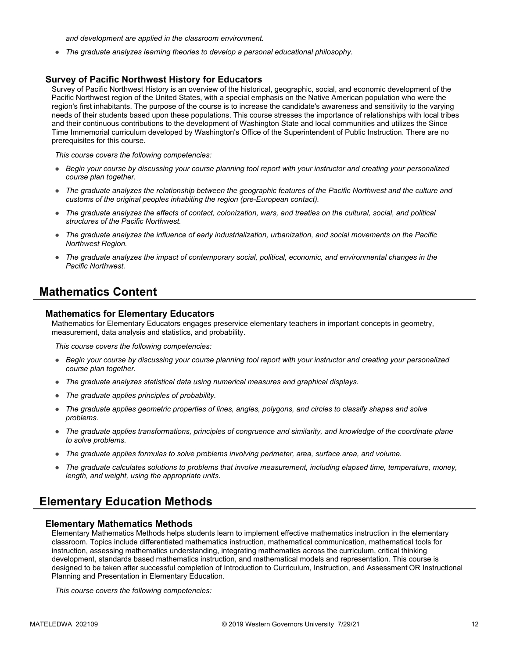*and development are applied in the classroom environment.*

● *The graduate analyzes learning theories to develop a personal educational philosophy.*

#### **Survey of Pacific Northwest History for Educators**

Survey of Pacific Northwest History is an overview of the historical, geographic, social, and economic development of the Pacific Northwest region of the United States, with a special emphasis on the Native American population who were the region's first inhabitants. The purpose of the course is to increase the candidate's awareness and sensitivity to the varying needs of their students based upon these populations. This course stresses the importance of relationships with local tribes and their continuous contributions to the development of Washington State and local communities and utilizes the Since Time Immemorial curriculum developed by Washington's Office of the Superintendent of Public Instruction. There are no prerequisites for this course.

*This course covers the following competencies:*

- *Begin your course by discussing your course planning tool report with your instructor and creating your personalized course plan together.*
- *The graduate analyzes the relationship between the geographic features of the Pacific Northwest and the culture and customs of the original peoples inhabiting the region (pre-European contact).*
- *The graduate analyzes the effects of contact, colonization, wars, and treaties on the cultural, social, and political structures of the Pacific Northwest.*
- *The graduate analyzes the influence of early industrialization, urbanization, and social movements on the Pacific Northwest Region.*
- *The graduate analyzes the impact of contemporary social, political, economic, and environmental changes in the Pacific Northwest.*

### **Mathematics Content**

#### **Mathematics for Elementary Educators**

Mathematics for Elementary Educators engages preservice elementary teachers in important concepts in geometry, measurement, data analysis and statistics, and probability.

*This course covers the following competencies:*

- *Begin your course by discussing your course planning tool report with your instructor and creating your personalized course plan together.*
- *The graduate analyzes statistical data using numerical measures and graphical displays.*
- *The graduate applies principles of probability.*
- *The graduate applies geometric properties of lines, angles, polygons, and circles to classify shapes and solve problems.*
- *The graduate applies transformations, principles of congruence and similarity, and knowledge of the coordinate plane to solve problems.*
- *The graduate applies formulas to solve problems involving perimeter, area, surface area, and volume.*
- *The graduate calculates solutions to problems that involve measurement, including elapsed time, temperature, money, length, and weight, using the appropriate units.*

### **Elementary Education Methods**

#### **Elementary Mathematics Methods**

Elementary Mathematics Methods helps students learn to implement effective mathematics instruction in the elementary classroom. Topics include differentiated mathematics instruction, mathematical communication, mathematical tools for instruction, assessing mathematics understanding, integrating mathematics across the curriculum, critical thinking development, standards based mathematics instruction, and mathematical models and representation. This course is designed to be taken after successful completion of Introduction to Curriculum, Instruction, and Assessment OR Instructional Planning and Presentation in Elementary Education.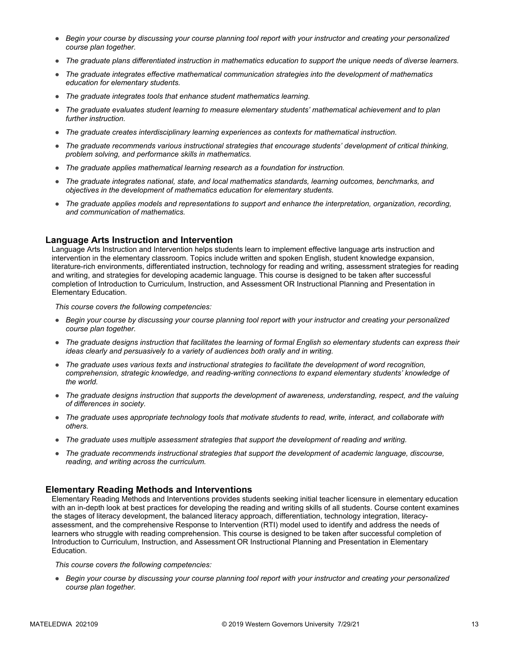- *Begin your course by discussing your course planning tool report with your instructor and creating your personalized course plan together.*
- *The graduate plans differentiated instruction in mathematics education to support the unique needs of diverse learners.*
- *The graduate integrates effective mathematical communication strategies into the development of mathematics education for elementary students.*
- *The graduate integrates tools that enhance student mathematics learning.*
- *The graduate evaluates student learning to measure elementary students' mathematical achievement and to plan further instruction.*
- *The graduate creates interdisciplinary learning experiences as contexts for mathematical instruction.*
- *The graduate recommends various instructional strategies that encourage students' development of critical thinking, problem solving, and performance skills in mathematics.*
- *The graduate applies mathematical learning research as a foundation for instruction.*
- *The graduate integrates national, state, and local mathematics standards, learning outcomes, benchmarks, and objectives in the development of mathematics education for elementary students.*
- *The graduate applies models and representations to support and enhance the interpretation, organization, recording, and communication of mathematics.*

#### **Language Arts Instruction and Intervention**

Language Arts Instruction and Intervention helps students learn to implement effective language arts instruction and intervention in the elementary classroom. Topics include written and spoken English, student knowledge expansion, literature-rich environments, differentiated instruction, technology for reading and writing, assessment strategies for reading and writing, and strategies for developing academic language. This course is designed to be taken after successful completion of Introduction to Curriculum, Instruction, and Assessment OR Instructional Planning and Presentation in Elementary Education.

*This course covers the following competencies:*

- *Begin your course by discussing your course planning tool report with your instructor and creating your personalized course plan together.*
- *The graduate designs instruction that facilitates the learning of formal English so elementary students can express their ideas clearly and persuasively to a variety of audiences both orally and in writing.*
- *The graduate uses various texts and instructional strategies to facilitate the development of word recognition, comprehension, strategic knowledge, and reading-writing connections to expand elementary students' knowledge of the world.*
- *The graduate designs instruction that supports the development of awareness, understanding, respect, and the valuing of differences in society.*
- *The graduate uses appropriate technology tools that motivate students to read, write, interact, and collaborate with others.*
- *The graduate uses multiple assessment strategies that support the development of reading and writing.*
- *The graduate recommends instructional strategies that support the development of academic language, discourse, reading, and writing across the curriculum.*

#### **Elementary Reading Methods and Interventions**

Elementary Reading Methods and Interventions provides students seeking initial teacher licensure in elementary education with an in-depth look at best practices for developing the reading and writing skills of all students. Course content examines the stages of literacy development, the balanced literacy approach, differentiation, technology integration, literacyassessment, and the comprehensive Response to Intervention (RTI) model used to identify and address the needs of learners who struggle with reading comprehension. This course is designed to be taken after successful completion of Introduction to Curriculum, Instruction, and Assessment OR Instructional Planning and Presentation in Elementary Education.

*This course covers the following competencies:*

● *Begin your course by discussing your course planning tool report with your instructor and creating your personalized course plan together.*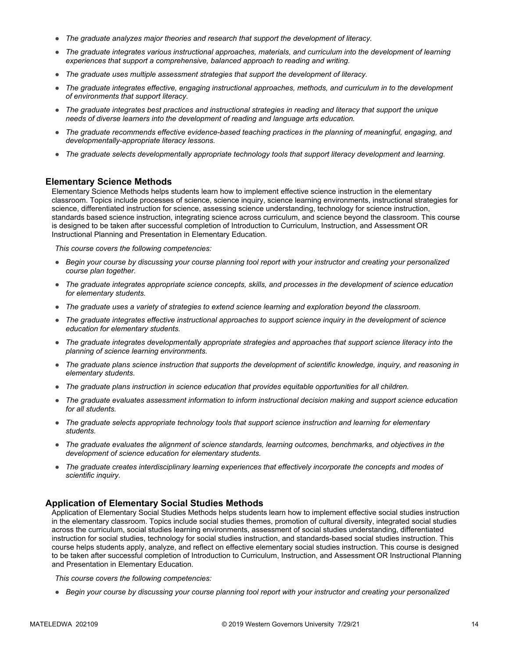- *The graduate analyzes major theories and research that support the development of literacy.*
- *The graduate integrates various instructional approaches, materials, and curriculum into the development of learning experiences that support a comprehensive, balanced approach to reading and writing.*
- *The graduate uses multiple assessment strategies that support the development of literacy.*
- *The graduate integrates effective, engaging instructional approaches, methods, and curriculum in to the development of environments that support literacy.*
- *The graduate integrates best practices and instructional strategies in reading and literacy that support the unique needs of diverse learners into the development of reading and language arts education.*
- *The graduate recommends effective evidence-based teaching practices in the planning of meaningful, engaging, and developmentally-appropriate literacy lessons.*
- *The graduate selects developmentally appropriate technology tools that support literacy development and learning.*

#### **Elementary Science Methods**

Elementary Science Methods helps students learn how to implement effective science instruction in the elementary classroom. Topics include processes of science, science inquiry, science learning environments, instructional strategies for science, differentiated instruction for science, assessing science understanding, technology for science instruction, standards based science instruction, integrating science across curriculum, and science beyond the classroom. This course is designed to be taken after successful completion of Introduction to Curriculum, Instruction, and Assessment OR Instructional Planning and Presentation in Elementary Education.

*This course covers the following competencies:*

- *Begin your course by discussing your course planning tool report with your instructor and creating your personalized course plan together.*
- *The graduate integrates appropriate science concepts, skills, and processes in the development of science education for elementary students.*
- *The graduate uses a variety of strategies to extend science learning and exploration beyond the classroom.*
- *The graduate integrates effective instructional approaches to support science inquiry in the development of science education for elementary students.*
- *The graduate integrates developmentally appropriate strategies and approaches that support science literacy into the planning of science learning environments.*
- *The graduate plans science instruction that supports the development of scientific knowledge, inquiry, and reasoning in elementary students.*
- *The graduate plans instruction in science education that provides equitable opportunities for all children.*
- *The graduate evaluates assessment information to inform instructional decision making and support science education for all students.*
- *The graduate selects appropriate technology tools that support science instruction and learning for elementary students.*
- *The graduate evaluates the alignment of science standards, learning outcomes, benchmarks, and objectives in the development of science education for elementary students.*
- *The graduate creates interdisciplinary learning experiences that effectively incorporate the concepts and modes of scientific inquiry.*

#### **Application of Elementary Social Studies Methods**

Application of Elementary Social Studies Methods helps students learn how to implement effective social studies instruction in the elementary classroom. Topics include social studies themes, promotion of cultural diversity, integrated social studies across the curriculum, social studies learning environments, assessment of social studies understanding, differentiated instruction for social studies, technology for social studies instruction, and standards-based social studies instruction. This course helps students apply, analyze, and reflect on effective elementary social studies instruction. This course is designed to be taken after successful completion of Introduction to Curriculum, Instruction, and Assessment OR Instructional Planning and Presentation in Elementary Education.

*This course covers the following competencies:*

● *Begin your course by discussing your course planning tool report with your instructor and creating your personalized*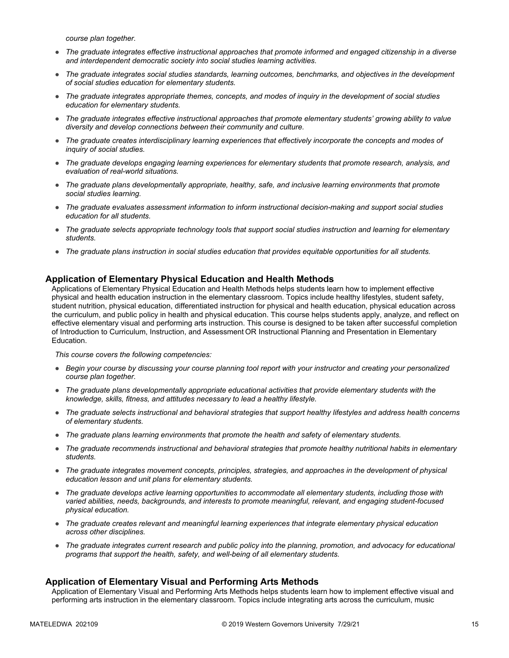*course plan together.*

- *The graduate integrates effective instructional approaches that promote informed and engaged citizenship in a diverse and interdependent democratic society into social studies learning activities.*
- *The graduate integrates social studies standards, learning outcomes, benchmarks, and objectives in the development of social studies education for elementary students.*
- *The graduate integrates appropriate themes, concepts, and modes of inquiry in the development of social studies education for elementary students.*
- *The graduate integrates effective instructional approaches that promote elementary students' growing ability to value diversity and develop connections between their community and culture.*
- *The graduate creates interdisciplinary learning experiences that effectively incorporate the concepts and modes of inquiry of social studies.*
- *The graduate develops engaging learning experiences for elementary students that promote research, analysis, and evaluation of real-world situations.*
- *The graduate plans developmentally appropriate, healthy, safe, and inclusive learning environments that promote social studies learning.*
- *The graduate evaluates assessment information to inform instructional decision-making and support social studies education for all students.*
- *The graduate selects appropriate technology tools that support social studies instruction and learning for elementary students.*
- *The graduate plans instruction in social studies education that provides equitable opportunities for all students.*

#### **Application of Elementary Physical Education and Health Methods**

Applications of Elementary Physical Education and Health Methods helps students learn how to implement effective physical and health education instruction in the elementary classroom. Topics include healthy lifestyles, student safety, student nutrition, physical education, differentiated instruction for physical and health education, physical education across the curriculum, and public policy in health and physical education. This course helps students apply, analyze, and reflect on effective elementary visual and performing arts instruction. This course is designed to be taken after successful completion of Introduction to Curriculum, Instruction, and Assessment OR Instructional Planning and Presentation in Elementary Education.

*This course covers the following competencies:*

- *Begin your course by discussing your course planning tool report with your instructor and creating your personalized course plan together.*
- *The graduate plans developmentally appropriate educational activities that provide elementary students with the knowledge, skills, fitness, and attitudes necessary to lead a healthy lifestyle.*
- *The graduate selects instructional and behavioral strategies that support healthy lifestyles and address health concerns of elementary students.*
- *The graduate plans learning environments that promote the health and safety of elementary students.*
- *The graduate recommends instructional and behavioral strategies that promote healthy nutritional habits in elementary students.*
- *The graduate integrates movement concepts, principles, strategies, and approaches in the development of physical education lesson and unit plans for elementary students.*
- *The graduate develops active learning opportunities to accommodate all elementary students, including those with varied abilities, needs, backgrounds, and interests to promote meaningful, relevant, and engaging student-focused physical education.*
- *The graduate creates relevant and meaningful learning experiences that integrate elementary physical education across other disciplines.*
- *The graduate integrates current research and public policy into the planning, promotion, and advocacy for educational programs that support the health, safety, and well-being of all elementary students.*

#### **Application of Elementary Visual and Performing Arts Methods**

Application of Elementary Visual and Performing Arts Methods helps students learn how to implement effective visual and performing arts instruction in the elementary classroom. Topics include integrating arts across the curriculum, music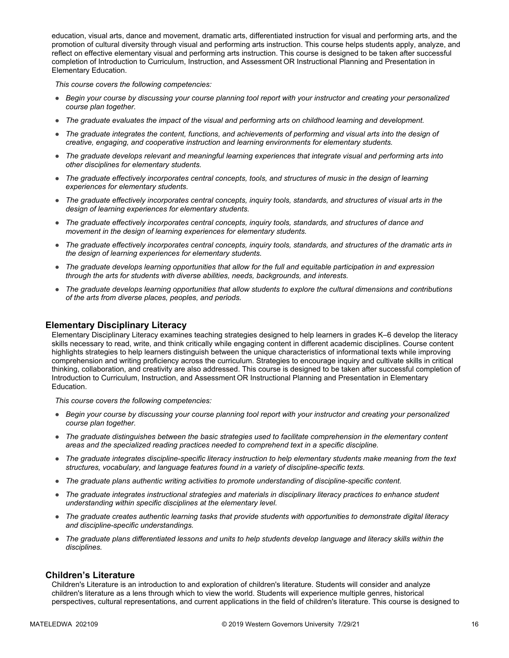education, visual arts, dance and movement, dramatic arts, differentiated instruction for visual and performing arts, and the promotion of cultural diversity through visual and performing arts instruction. This course helps students apply, analyze, and reflect on effective elementary visual and performing arts instruction. This course is designed to be taken after successful completion of Introduction to Curriculum, Instruction, and Assessment OR Instructional Planning and Presentation in Elementary Education.

*This course covers the following competencies:*

- *Begin your course by discussing your course planning tool report with your instructor and creating your personalized course plan together.*
- *The graduate evaluates the impact of the visual and performing arts on childhood learning and development.*
- *The graduate integrates the content, functions, and achievements of performing and visual arts into the design of creative, engaging, and cooperative instruction and learning environments for elementary students.*
- *The graduate develops relevant and meaningful learning experiences that integrate visual and performing arts into other disciplines for elementary students.*
- *The graduate effectively incorporates central concepts, tools, and structures of music in the design of learning experiences for elementary students.*
- *The graduate effectively incorporates central concepts, inquiry tools, standards, and structures of visual arts in the design of learning experiences for elementary students.*
- *The graduate effectively incorporates central concepts, inquiry tools, standards, and structures of dance and movement in the design of learning experiences for elementary students.*
- *The graduate effectively incorporates central concepts, inquiry tools, standards, and structures of the dramatic arts in the design of learning experiences for elementary students.*
- *The graduate develops learning opportunities that allow for the full and equitable participation in and expression through the arts for students with diverse abilities, needs, backgrounds, and interests.*
- *The graduate develops learning opportunities that allow students to explore the cultural dimensions and contributions of the arts from diverse places, peoples, and periods.*

#### **Elementary Disciplinary Literacy**

Elementary Disciplinary Literacy examines teaching strategies designed to help learners in grades K–6 develop the literacy skills necessary to read, write, and think critically while engaging content in different academic disciplines. Course content highlights strategies to help learners distinguish between the unique characteristics of informational texts while improving comprehension and writing proficiency across the curriculum. Strategies to encourage inquiry and cultivate skills in critical thinking, collaboration, and creativity are also addressed. This course is designed to be taken after successful completion of Introduction to Curriculum, Instruction, and Assessment OR Instructional Planning and Presentation in Elementary Education.

*This course covers the following competencies:*

- *Begin your course by discussing your course planning tool report with your instructor and creating your personalized course plan together.*
- *The graduate distinguishes between the basic strategies used to facilitate comprehension in the elementary content areas and the specialized reading practices needed to comprehend text in a specific discipline.*
- *The graduate integrates discipline-specific literacy instruction to help elementary students make meaning from the text structures, vocabulary, and language features found in a variety of discipline-specific texts.*
- *The graduate plans authentic writing activities to promote understanding of discipline-specific content.*
- *The graduate integrates instructional strategies and materials in disciplinary literacy practices to enhance student understanding within specific disciplines at the elementary level.*
- *The graduate creates authentic learning tasks that provide students with opportunities to demonstrate digital literacy and discipline-specific understandings.*
- *The graduate plans differentiated lessons and units to help students develop language and literacy skills within the disciplines.*

#### **Children's Literature**

Children's Literature is an introduction to and exploration of children's literature. Students will consider and analyze children's literature as a lens through which to view the world. Students will experience multiple genres, historical perspectives, cultural representations, and current applications in the field of children's literature. This course is designed to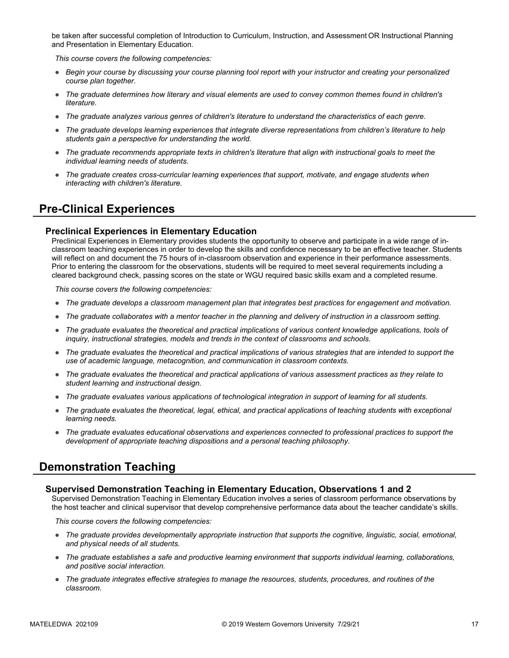be taken after successful completion of Introduction to Curriculum, Instruction, and Assessment OR Instructional Planning and Presentation in Elementary Education.

*This course covers the following competencies:*

- *Begin your course by discussing your course planning tool report with your instructor and creating your personalized course plan together.*
- *The graduate determines how literary and visual elements are used to convey common themes found in children's literature.*
- *The graduate analyzes various genres of children's literature to understand the characteristics of each genre.*
- *The graduate develops learning experiences that integrate diverse representations from children's literature to help students gain a perspective for understanding the world.*
- *The graduate recommends appropriate texts in children's literature that align with instructional goals to meet the individual learning needs of students.*
- *The graduate creates cross-curricular learning experiences that support, motivate, and engage students when interacting with children's literature.*

# **Pre-Clinical Experiences**

#### **Preclinical Experiences in Elementary Education**

Preclinical Experiences in Elementary provides students the opportunity to observe and participate in a wide range of inclassroom teaching experiences in order to develop the skills and confidence necessary to be an effective teacher. Students will reflect on and document the 75 hours of in-classroom observation and experience in their performance assessments. Prior to entering the classroom for the observations, students will be required to meet several requirements including a cleared background check, passing scores on the state or WGU required basic skills exam and a completed resume.

*This course covers the following competencies:*

- *The graduate develops a classroom management plan that integrates best practices for engagement and motivation.*
- *The graduate collaborates with a mentor teacher in the planning and delivery of instruction in a classroom setting.*
- *The graduate evaluates the theoretical and practical implications of various content knowledge applications, tools of inquiry, instructional strategies, models and trends in the context of classrooms and schools.*
- *The graduate evaluates the theoretical and practical implications of various strategies that are intended to support the use of academic language, metacognition, and communication in classroom contexts.*
- *The graduate evaluates the theoretical and practical applications of various assessment practices as they relate to student learning and instructional design.*
- *The graduate evaluates various applications of technological integration in support of learning for all students.*
- *The graduate evaluates the theoretical, legal, ethical, and practical applications of teaching students with exceptional learning needs.*
- *The graduate evaluates educational observations and experiences connected to professional practices to support the development of appropriate teaching dispositions and a personal teaching philosophy.*

# **Demonstration Teaching**

#### **Supervised Demonstration Teaching in Elementary Education, Observations 1 and 2**

Supervised Demonstration Teaching in Elementary Education involves a series of classroom performance observations by the host teacher and clinical supervisor that develop comprehensive performance data about the teacher candidate's skills.

- *The graduate provides developmentally appropriate instruction that supports the cognitive, linguistic, social, emotional, and physical needs of all students.*
- *The graduate establishes a safe and productive learning environment that supports individual learning, collaborations, and positive social interaction.*
- *The graduate integrates effective strategies to manage the resources, students, procedures, and routines of the classroom.*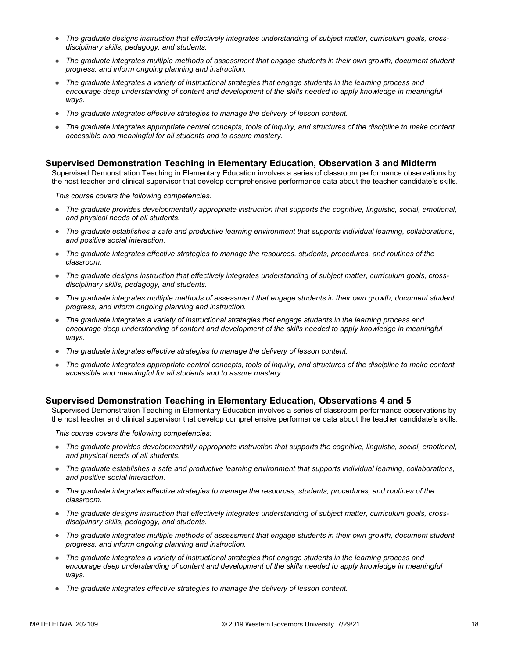- The graduate designs instruction that effectively integrates understanding of subject matter, curriculum goals, cross*disciplinary skills, pedagogy, and students.*
- *The graduate integrates multiple methods of assessment that engage students in their own growth, document student progress, and inform ongoing planning and instruction.*
- *The graduate integrates a variety of instructional strategies that engage students in the learning process and*  encourage deep understanding of content and development of the skills needed to apply knowledge in meaningful *ways.*
- *The graduate integrates effective strategies to manage the delivery of lesson content.*
- *The graduate integrates appropriate central concepts, tools of inquiry, and structures of the discipline to make content accessible and meaningful for all students and to assure mastery.*

#### **Supervised Demonstration Teaching in Elementary Education, Observation 3 and Midterm**

Supervised Demonstration Teaching in Elementary Education involves a series of classroom performance observations by the host teacher and clinical supervisor that develop comprehensive performance data about the teacher candidate's skills.

*This course covers the following competencies:*

- *The graduate provides developmentally appropriate instruction that supports the cognitive, linguistic, social, emotional, and physical needs of all students.*
- *The graduate establishes a safe and productive learning environment that supports individual learning, collaborations, and positive social interaction.*
- *The graduate integrates effective strategies to manage the resources, students, procedures, and routines of the classroom.*
- *The graduate designs instruction that effectively integrates understanding of subject matter, curriculum goals, crossdisciplinary skills, pedagogy, and students.*
- *The graduate integrates multiple methods of assessment that engage students in their own growth, document student progress, and inform ongoing planning and instruction.*
- *The graduate integrates a variety of instructional strategies that engage students in the learning process and*  encourage deep understanding of content and development of the skills needed to apply knowledge in meaningful *ways.*
- *The graduate integrates effective strategies to manage the delivery of lesson content.*
- *The graduate integrates appropriate central concepts, tools of inquiry, and structures of the discipline to make content accessible and meaningful for all students and to assure mastery.*

#### **Supervised Demonstration Teaching in Elementary Education, Observations 4 and 5**

Supervised Demonstration Teaching in Elementary Education involves a series of classroom performance observations by the host teacher and clinical supervisor that develop comprehensive performance data about the teacher candidate's skills.

- *The graduate provides developmentally appropriate instruction that supports the cognitive, linguistic, social, emotional, and physical needs of all students.*
- *The graduate establishes a safe and productive learning environment that supports individual learning, collaborations, and positive social interaction.*
- *The graduate integrates effective strategies to manage the resources, students, procedures, and routines of the classroom.*
- *The graduate designs instruction that effectively integrates understanding of subject matter, curriculum goals, crossdisciplinary skills, pedagogy, and students.*
- *The graduate integrates multiple methods of assessment that engage students in their own growth, document student progress, and inform ongoing planning and instruction.*
- *The graduate integrates a variety of instructional strategies that engage students in the learning process and*  encourage deep understanding of content and development of the skills needed to apply knowledge in meaningful *ways.*
- *The graduate integrates effective strategies to manage the delivery of lesson content.*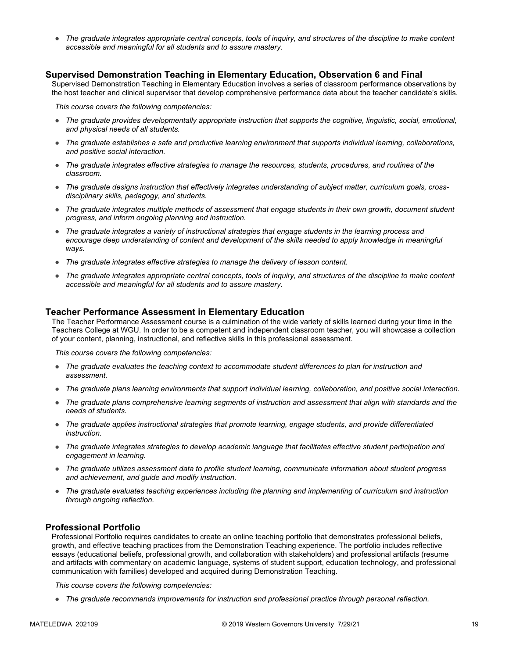● *The graduate integrates appropriate central concepts, tools of inquiry, and structures of the discipline to make content accessible and meaningful for all students and to assure mastery.*

#### **Supervised Demonstration Teaching in Elementary Education, Observation 6 and Final**

Supervised Demonstration Teaching in Elementary Education involves a series of classroom performance observations by the host teacher and clinical supervisor that develop comprehensive performance data about the teacher candidate's skills.

*This course covers the following competencies:*

- *The graduate provides developmentally appropriate instruction that supports the cognitive, linguistic, social, emotional, and physical needs of all students.*
- *The graduate establishes a safe and productive learning environment that supports individual learning, collaborations, and positive social interaction.*
- *The graduate integrates effective strategies to manage the resources, students, procedures, and routines of the classroom.*
- *The graduate designs instruction that effectively integrates understanding of subject matter, curriculum goals, crossdisciplinary skills, pedagogy, and students.*
- *The graduate integrates multiple methods of assessment that engage students in their own growth, document student progress, and inform ongoing planning and instruction.*
- *The graduate integrates a variety of instructional strategies that engage students in the learning process and encourage deep understanding of content and development of the skills needed to apply knowledge in meaningful ways.*
- *The graduate integrates effective strategies to manage the delivery of lesson content.*
- *The graduate integrates appropriate central concepts, tools of inquiry, and structures of the discipline to make content accessible and meaningful for all students and to assure mastery.*

#### **Teacher Performance Assessment in Elementary Education**

The Teacher Performance Assessment course is a culmination of the wide variety of skills learned during your time in the Teachers College at WGU. In order to be a competent and independent classroom teacher, you will showcase a collection of your content, planning, instructional, and reflective skills in this professional assessment.

*This course covers the following competencies:*

- *The graduate evaluates the teaching context to accommodate student differences to plan for instruction and assessment.*
- *The graduate plans learning environments that support individual learning, collaboration, and positive social interaction.*
- *The graduate plans comprehensive learning segments of instruction and assessment that align with standards and the needs of students.*
- *The graduate applies instructional strategies that promote learning, engage students, and provide differentiated instruction.*
- *The graduate integrates strategies to develop academic language that facilitates effective student participation and engagement in learning.*
- *The graduate utilizes assessment data to profile student learning, communicate information about student progress and achievement, and guide and modify instruction.*
- *The graduate evaluates teaching experiences including the planning and implementing of curriculum and instruction through ongoing reflection.*

#### **Professional Portfolio**

Professional Portfolio requires candidates to create an online teaching portfolio that demonstrates professional beliefs, growth, and effective teaching practices from the Demonstration Teaching experience. The portfolio includes reflective essays (educational beliefs, professional growth, and collaboration with stakeholders) and professional artifacts (resume and artifacts with commentary on academic language, systems of student support, education technology, and professional communication with families) developed and acquired during Demonstration Teaching.

*This course covers the following competencies:*

● *The graduate recommends improvements for instruction and professional practice through personal reflection.*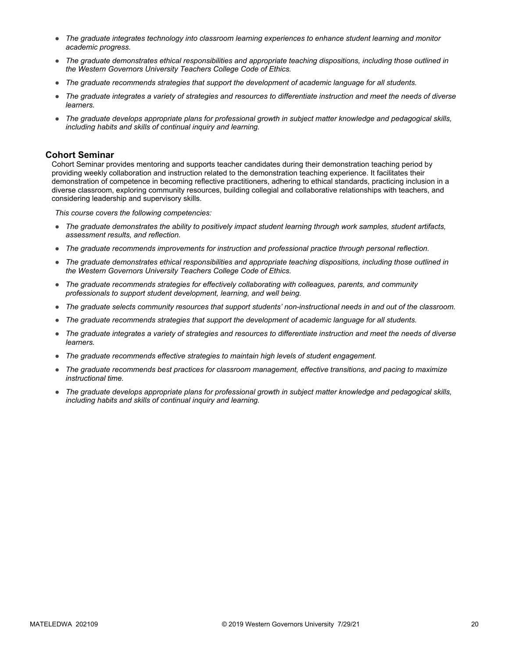- *The graduate integrates technology into classroom learning experiences to enhance student learning and monitor academic progress.*
- *The graduate demonstrates ethical responsibilities and appropriate teaching dispositions, including those outlined in the Western Governors University Teachers College Code of Ethics.*
- *The graduate recommends strategies that support the development of academic language for all students.*
- *The graduate integrates a variety of strategies and resources to differentiate instruction and meet the needs of diverse learners.*
- *The graduate develops appropriate plans for professional growth in subject matter knowledge and pedagogical skills, including habits and skills of continual inquiry and learning.*

#### **Cohort Seminar**

Cohort Seminar provides mentoring and supports teacher candidates during their demonstration teaching period by providing weekly collaboration and instruction related to the demonstration teaching experience. It facilitates their demonstration of competence in becoming reflective practitioners, adhering to ethical standards, practicing inclusion in a diverse classroom, exploring community resources, building collegial and collaborative relationships with teachers, and considering leadership and supervisory skills.

- *The graduate demonstrates the ability to positively impact student learning through work samples, student artifacts, assessment results, and reflection.*
- *The graduate recommends improvements for instruction and professional practice through personal reflection.*
- *The graduate demonstrates ethical responsibilities and appropriate teaching dispositions, including those outlined in the Western Governors University Teachers College Code of Ethics.*
- *The graduate recommends strategies for effectively collaborating with colleagues, parents, and community professionals to support student development, learning, and well being.*
- *The graduate selects community resources that support students' non-instructional needs in and out of the classroom.*
- *The graduate recommends strategies that support the development of academic language for all students.*
- *The graduate integrates a variety of strategies and resources to differentiate instruction and meet the needs of diverse learners.*
- *The graduate recommends effective strategies to maintain high levels of student engagement.*
- *The graduate recommends best practices for classroom management, effective transitions, and pacing to maximize instructional time.*
- *The graduate develops appropriate plans for professional growth in subject matter knowledge and pedagogical skills, including habits and skills of continual inquiry and learning.*